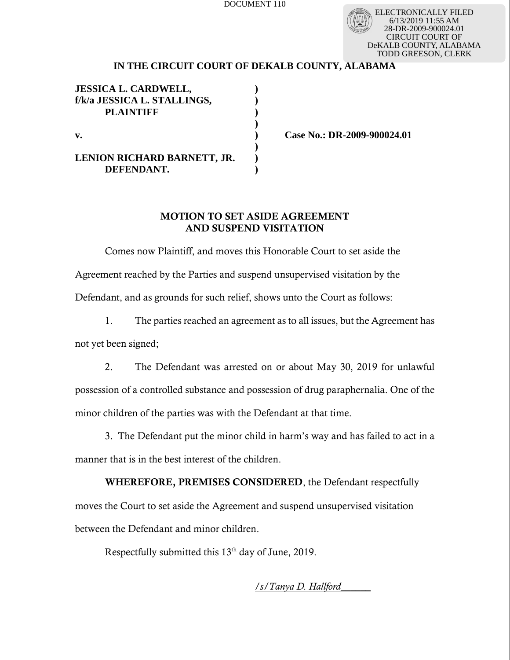DOCUMENT 110

ELECTRONICALLY FILED 6/13/2019 11:55 AM 28-DR-2009-900024.01 CIRCUIT COURT OF DeKALB COUNTY, ALABAMA TODD GREESON, CLERK

## **IN THE CIRCUIT COURT OF DEKALB COUNTY, ALABAMA**

| <b>JESSICA L. CARDWELL,</b><br>f/k/a JESSICA L. STALLINGS,<br><b>PLAINTIFF</b> |  |
|--------------------------------------------------------------------------------|--|
| v.                                                                             |  |
| LENION RICHARD BARNETT, JR.<br>DEFENDANT.                                      |  |

**v. ) Case No.: DR-2009-900024.01**

## MOTION TO SET ASIDE AGREEMENT AND SUSPEND VISITATION

Comes now Plaintiff, and moves this Honorable Court to set aside the Agreement reached by the Parties and suspend unsupervised visitation by the Defendant, and as grounds for such relief, shows unto the Court as follows:

1. The parties reached an agreement as to all issues, but the Agreement has not yet been signed;

2. The Defendant was arrested on or about May 30, 2019 for unlawful possession of a controlled substance and possession of drug paraphernalia. One of the minor children of the parties was with the Defendant at that time.

3. The Defendant put the minor child in harm's way and has failed to act in a manner that is in the best interest of the children.

WHEREFORE, PREMISES CONSIDERED, the Defendant respectfully moves the Court to set aside the Agreement and suspend unsupervised visitation between the Defendant and minor children.

Respectfully submitted this  $13<sup>th</sup>$  day of June, 2019.

/*s/Tanya D. Hallford*\_\_\_\_\_\_